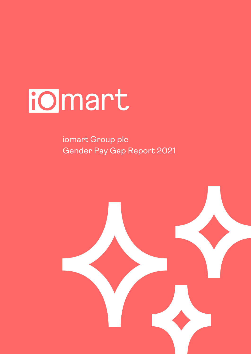# iomart í

 iomart Group plc Gender Pay Gap Report 2021

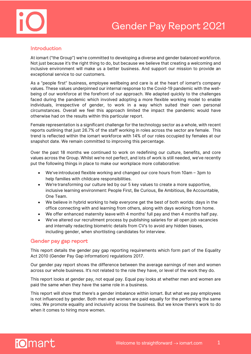



# Introduction

At iomart ("the Group") we're committed to developing a diverse and gender balanced workforce. Not just because it's the right thing to do, but because we believe that creating a welcoming and inclusive environment will make us a better business. And support our mission to provide an exceptional service to our customers.

As a "people first" business, employee wellbeing and care is at the heart of iomart's company values. These values underpinned our internal response to the Covid-19 pandemic with the wellbeing of our workforce at the forefront of our approach. We adapted quickly to the challenges faced during the pandemic which involved adopting a more flexible working model to enable individuals, irrespective of gender, to work in a way which suited their own personal circumstances. Overall we feel this approach limited the impact the pandemic would have otherwise had on the results within this particular report.

Female representation is a significant challenge for the technology sector as a whole, with recent reports outlining that just 26.7% of the staff working in roles across the sector are female. This trend is reflected within the iomart workforce with 14% of our roles occupied by females at our snapshot date. We remain committed to improving this percentage.

Over the past 18 months we continued to work on redefining our culture, benefits, and core values across the Group. Whilst we're not perfect, and lots of work is still needed, we've recently put the following things in place to make our workplace more collaborative:

- We've introduced flexible working and changed our core hours from 10am 3pm to help families with childcare responsibilities.
- We're transforming our culture led by our 5 key values to create a more supportive, inclusive learning environment: People First, Be Curious, Be Ambitious, Be Accountable, One Team.
- We believe in hybrid working to help everyone get the best of both worlds: days in the office connecting with and learning from others, along with days working from home.
- We offer enhanced maternity leave with 4 months' full pay and then 4 months half pay.
- We've altered our recruitment process by publishing salaries for all open job vacancies and internally redacting biometric details from CV's to avoid any hidden biases, including gender, when shortlisting candidates for interview.

# Gender pay gap report

This report details the gender pay gap reporting requirements which form part of the Equality Act 2010 (Gender Pay Gap information) regulations 2017.

Our gender pay report shows the difference between the average earnings of men and women across our whole business. It's not related to the role they have, or level of the work they do.

This report looks at gender pay, not equal pay. Equal pay looks at whether men and women are paid the same when they have the same role in a business.

This report will show that there's a gender imbalance within iomart. But what we pay employees is not influenced by gender. Both men and women are paid equally for the performing the same roles. We promote equality and inclusivity across the business. But we know there's work to do when it comes to hiring more women.

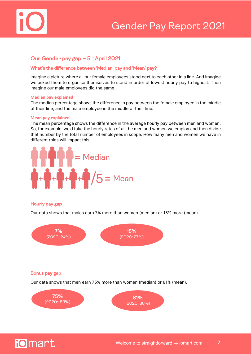

# Our Gender pay gap - 5<sup>th</sup> April 2021

# What's the difference between 'Median' pay and 'Mean' pay?

Imagine a picture where all our female employees stood next to each other in a line. And Imagine we asked them to organise themselves to stand in order of lowest hourly pay to highest. Then imagine our male employees did the same.

# **Median pay explained**

The median percentage shows the difference in pay between the female employee in the middle of their line, and the male employee in the middle of their line.

## **Mean pay explained**

The mean percentage shows the difference in the average hourly pay between men and women. So, for example, we'd take the hourly rates of all the men and women we employ and then divide that number by the total number of employees in scope. How many men and women we have in different roles will impact this.



# Hourly pay gap

Our data shows that males earn 7% more than women (median) or 15% more (mean).

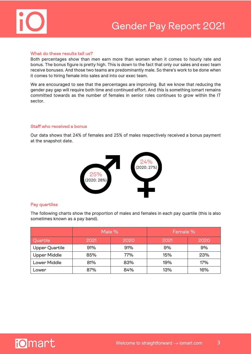

# What do these results tell us?

Both percentages show than men earn more than women when it comes to hourly rate and bonus. The bonus figure is pretty high. This is down to the fact that only our sales and exec team receive bonuses. And those two teams are predominantly male. So there's work to be done when it comes to hiring female into sales and into our exec team.

We are encouraged to see that the percentages are improving. But we know that reducing the gender pay gap will require both time and continued effort. And this is something iomart remains committed towards as the number of females in senior roles continues to grow within the IT sector.

# Staff who received a bonus

Our data shows that 24% of females and 25% of males respectively received a bonus payment at the snapshot date.



# Pay quartiles

The following charts show the proportion of males and females in each pay quartile (this is also sometimes known as a pay band).

|                | Male % |      | Female % |      |
|----------------|--------|------|----------|------|
| Quartile       | 2021   | 2020 | 2021     | 2020 |
| Upper Quartile | 91%    | 91%  | 9%       | 9%   |
| Upper Middle   | 85%    | 77%  | 15%      | 23%  |
| Lower Middle   | 81%    | 83%  | 19%      | 17%  |
| Lower          | 87%    | 84%  | 13%      | 16%  |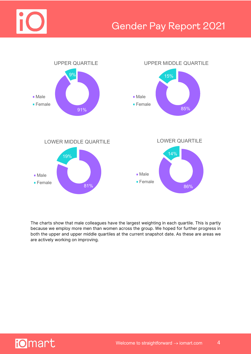



The charts show that male colleagues have the largest weighting in each quartile. This is partly because we employ more men than women across the group. We hoped for further progress in both the upper and upper middle quartiles at the current snapshot date. As these are areas we are actively working on improving.

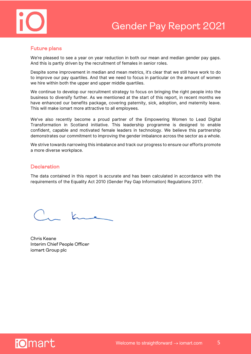

# Future plans

We're pleased to see a year on year reduction in both our mean and median gender pay gaps. And this is partly driven by the recruitment of females in senior roles.

Despite some improvement in median and mean metrics, it's clear that we still have work to do to improve our pay quartiles. And that we need to focus in particular on the amount of women we hire within both the upper and upper middle quartiles.

We continue to develop our recruitment strategy to focus on bringing the right people into the business to diversify further. As we mentioned at the start of this report, in recent months we have enhanced our benefits package, covering paternity, sick, adoption, and maternity leave. This will make iomart more attractive to all employees.

We've also recently become a proud partner of the Empowering Women to Lead Digital Transformation in Scotland initiative. This leadership programme is designed to enable confident, capable and motivated female leaders in technology. We believe this partnership demonstrates our commitment to improving the gender imbalance across the sector as a whole.

We strive towards narrowing this imbalance and track our progress to ensure our efforts promote a more diverse workplace.

# **Declaration**

The data contained in this report is accurate and has been calculated in accordance with the requirements of the Equality Act 2010 (Gender Pay Gap Information) Regulations 2017.

Chris Keane Interim Chief People Officer iomart Group plc